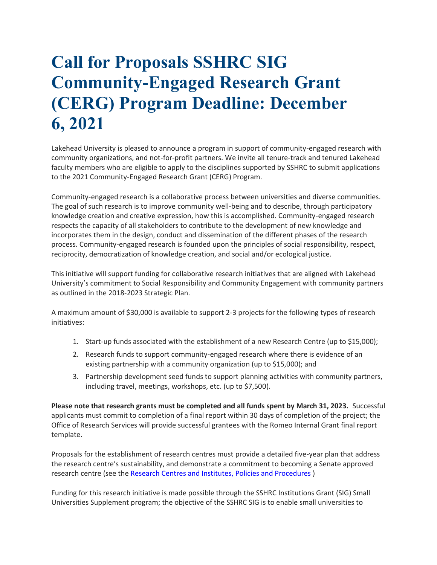# **Call for Proposals SSHRC SIG Community-Engaged Research Grant (CERG) Program Deadline: December 6, 2021**

Lakehead University is pleased to announce a program in support of community-engaged research with community organizations, and not-for-profit partners. We invite all tenure-track and tenured Lakehead faculty members who are eligible to apply to the disciplines supported by SSHRC to submit applications to the 2021 Community-Engaged Research Grant (CERG) Program.

Community-engaged research is a collaborative process between universities and diverse communities. The goal of such research is to improve community well-being and to describe, through participatory knowledge creation and creative expression, how this is accomplished. Community-engaged research respects the capacity of all stakeholders to contribute to the development of new knowledge and incorporates them in the design, conduct and dissemination of the different phases of the research process. Community-engaged research is founded upon the principles of social responsibility, respect, reciprocity, democratization of knowledge creation, and social and/or ecological justice.

This initiative will support funding for collaborative research initiatives that are aligned with Lakehead University's commitment to Social Responsibility and Community Engagement with community partners as outlined in the 2018-2023 Strategic Plan.

A maximum amount of \$30,000 is available to support 2-3 projects for the following types of research initiatives:

- 1. Start-up funds associated with the establishment of a new Research Centre (up to \$15,000);
- 2. Research funds to support community-engaged research where there is evidence of an existing partnership with a community organization (up to \$15,000); and
- 3. Partnership development seed funds to support planning activities with community partners, including travel, meetings, workshops, etc. (up to \$7,500).

**Please note that research grants must be completed and all funds spent by March 31, 2023.** Successful applicants must commit to completion of a final report within 30 days of completion of the project; the Office of Research Services will provide successful grantees with the Romeo Internal Grant final report template.

Proposals for the establishment of research centres must provide a detailed five-year plan that address the research centre's sustainability, and demonstrate a commitment to becoming a Senate approved research centre (see the [Research Centres and Institutes, Policies and Procedures](https://www.lakeheadu.ca/sites/default/files/policies_procedures/Research%20Centres%20and%20Institutes%2C%20Policies%20and%20Procedures.pdf))

Funding for this research initiative is made possible through the SSHRC Institutions Grant (SIG) Small Universities Supplement program; the objective of the SSHRC SIG is to enable small universities to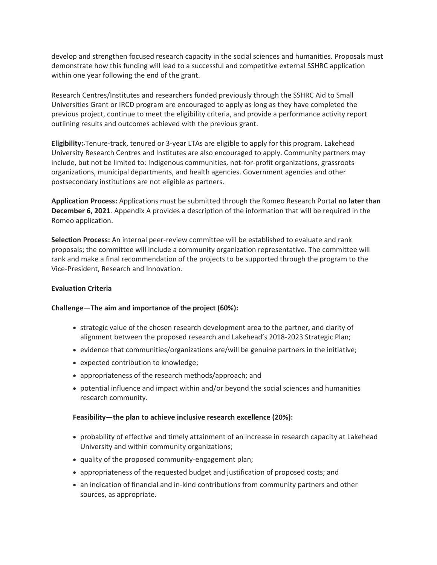develop and strengthen focused research capacity in the social sciences and humanities. Proposals must demonstrate how this funding will lead to a successful and competitive external SSHRC application within one year following the end of the grant.

Research Centres/Institutes and researchers funded previously through the SSHRC Aid to Small Universities Grant or IRCD program are encouraged to apply as long as they have completed the previous project, continue to meet the eligibility criteria, and provide a performance activity report outlining results and outcomes achieved with the previous grant.

**Eligibility:** Tenure-track, tenured or 3-year LTAs are eligible to apply for this program. Lakehead University Research Centres and Institutes are also encouraged to apply. Community partners may include, but not be limited to: Indigenous communities, not-for-profit organizations, grassroots organizations, municipal departments, and health agencies. Government agencies and other postsecondary institutions are not eligible as partners.

**Application Process:** Applications must be submitted through the Romeo Research Portal **no later than December 6, 2021**. Appendix A provides a description of the information that will be required in the Romeo application.

**Selection Process:** An internal peer-review committee will be established to evaluate and rank proposals; the committee will include a community organization representative. The committee will rank and make a final recommendation of the projects to be supported through the program to the Vice-President, Research and Innovation.

## **Evaluation Criteria**

## **Challenge**—**The aim and importance of the project (60%):**

- strategic value of the chosen research development area to the partner, and clarity of alignment between the proposed research and Lakehead's 2018-2023 Strategic Plan;
- evidence that communities/organizations are/will be genuine partners in the initiative;
- expected contribution to knowledge;
- appropriateness of the research methods/approach; and
- potential influence and impact within and/or beyond the social sciences and humanities research community.

#### **Feasibility—the plan to achieve inclusive research excellence (20%):**

- probability of effective and timely attainment of an increase in research capacity at Lakehead University and within community organizations;
- quality of the proposed community-engagement plan;
- appropriateness of the requested budget and justification of proposed costs; and
- an indication of financial and in-kind contributions from community partners and other sources, as appropriate.